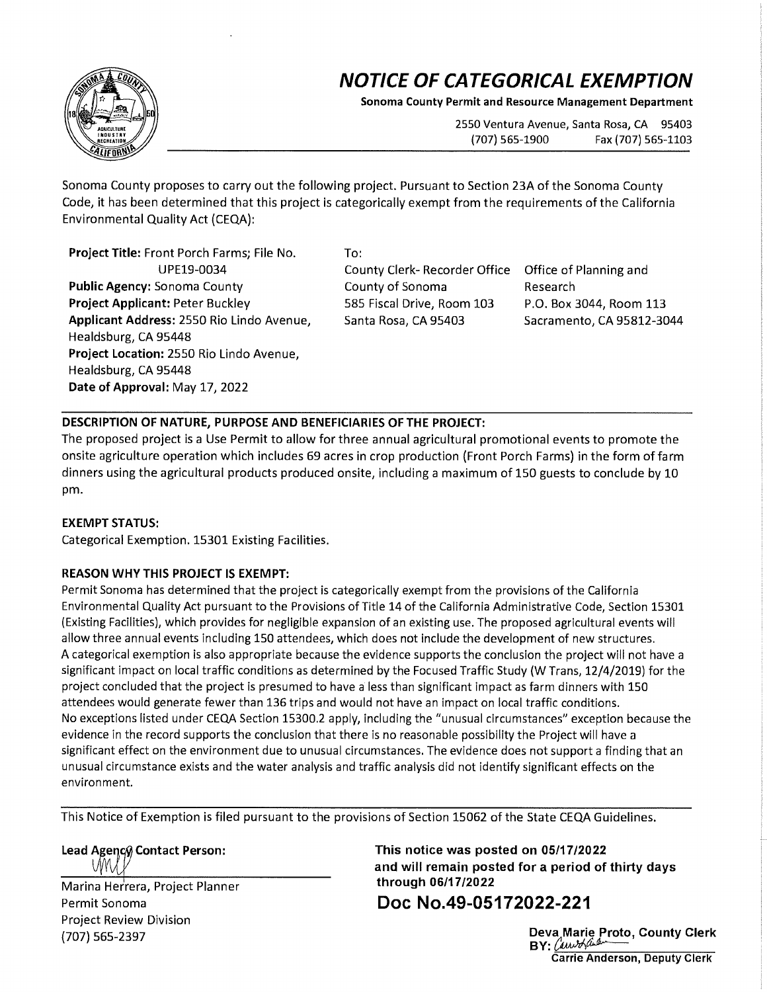## **NOTICE OF CATEGORICAL EXEMPTION**

**Sonoma County Permit and Resource Management Department** 

2550 Ventura Avenue, Santa Rosa, CA 95403 (707) 565-1900 Fax (707) 565-1103

Sonoma County proposes to carry out the following project. Pursuant to Section 23A of the Sonoma County Code, it has been determined that this project is categorically exempt from the requirements of the California Environmental Quality Act {CEQA):

**Project Title:** Front Porch Farms; File No. UPE19-0034 **Public Agency:** Sonoma County **Project Applicant:** Peter Buckley **Applicant Address:** 2550 Rio Lindo Avenue, Healdsburg, CA 95448 **Project Location:** 2550 Rio Lindo Avenue, Healdsburg, CA 95448 **Date of Approval:** May 17, 2022

To:

County Clerk- Recorder Office Office of Planning and County of Sonoma 585 Fiscal Drive, Room 103 Santa Rosa, CA 95403

Research P.O. Box 3044, Room 113 Sacramento, CA 95812-3044

## **DESCRIPTION OF NATURE, PURPOSE AND BENEFICIARIES OF THE PROJECT:**

The proposed project is a Use Permit to allow for three annual agricultural promotional events to promote the onsite agriculture operation which includes 69 acres in crop production {Front Porch Farms) in the form of farm dinners using the agricultural products produced onsite, including a maximum of 150 guests to conclude by 10 pm.

## **EXEMPT STATUS:**

Categorical Exemption. 15301 Existing Facilities.

## **REASON WHY THIS PROJECT IS EXEMPT:**

Permit Sonoma has determined that the project is categorically exempt from the provisions of the California Environmental Quality Act pursuant to the Provisions of Title 14 of the California Administrative Code, Section 15301 (Existing Facilities), which provides for negligible expansion of an existing use. The proposed agricultural events will allow three annual events including 150 attendees, which does not include the development of new structures. A categorical exemption is also appropriate because the evidence supports the conclusion the project will not have a significant impact on local traffic conditions as determined by the Focused Traffic Study (W Trans, 12/4/2019) for the project concluded that the project is presumed to have a less than significant impact as farm dinners with 150 attendees would generate fewer than 136 trips and would not have an impact on local traffic conditions. No exceptions listed under CEQA Section 15300.2 apply, including the "unusual circumstances" exception because the evidence in the record supports the conclusion that there is no reasonable possibility the Project will have a significant effect on the environment due to unusual circumstances. The evidence does not support a finding that an unusual circumstance exists and the water analysis and traffic analysis did not identify significant effects on the environment.

This Notice of Exemption is filed pursuant to the provisions of Section 15062 of the State CEQA Guidelines.

Lead Agency Contact Person:

Marina Herrera, Project Planner Permit Sonoma Project Review Division {707) 565-2397

**This notice was posted on 05/17/2022 and will remain posted for a period of thirty days through 06/17/2022** 

**Doc No.49-05172022-221** 

**Deva Marie Proto, County Clerk BY:** *()».,JrAM----* **Carrie Anderson, Deputy Clerk**